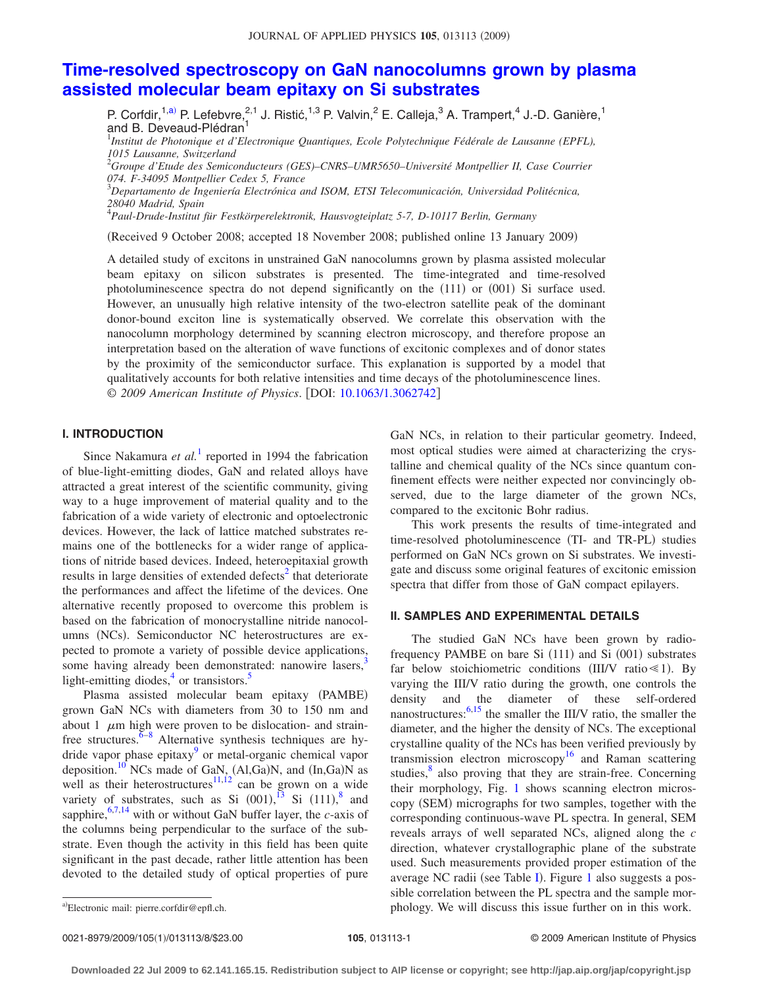# **[Time-resolved spectroscopy on GaN nanocolumns grown by plasma](http://dx.doi.org/10.1063/1.3062742) [assisted molecular beam epitaxy on Si substrates](http://dx.doi.org/10.1063/1.3062742)**

P. Corfdir, <sup>1[,a](#page-0-0))</sup> P. Lefebvre, <sup>2,1</sup> J. Ristić, <sup>1,3</sup> P. Valvin, <sup>2</sup> E. Calleja, <sup>3</sup> A. Trampert, <sup>4</sup> J.-D. Ganière, <sup>1</sup> and B. Deveaud-Plédran<sup>1</sup>

1 *Institut de Photonique et d'Electronique Quantiques, Ecole Polytechnique Fédérale de Lausanne (EPFL), 1015 Lausanne, Switzerland*

2 *Groupe d'Etude des Semiconducteurs (GES)–CNRS–UMR5650–Université Montpellier II, Case Courrier 074. F-34095 Montpellier Cedex 5, France*

3 *Departamento de Ingeniería Electrónica and ISOM, ETSI Telecomunicación, Universidad Politécnica, 28040 Madrid, Spain* 4 *Paul-Drude-Institut für Festkörperelektronik, Hausvogteiplatz 5-7, D-10117 Berlin, Germany*

(Received 9 October 2008; accepted 18 November 2008; published online 13 January 2009)

A detailed study of excitons in unstrained GaN nanocolumns grown by plasma assisted molecular beam epitaxy on silicon substrates is presented. The time-integrated and time-resolved photoluminescence spectra do not depend significantly on the  $(111)$  or  $(001)$  Si surface used. However, an unusually high relative intensity of the two-electron satellite peak of the dominant donor-bound exciton line is systematically observed. We correlate this observation with the nanocolumn morphology determined by scanning electron microscopy, and therefore propose an interpretation based on the alteration of wave functions of excitonic complexes and of donor states by the proximity of the semiconductor surface. This explanation is supported by a model that qualitatively accounts for both relative intensities and time decays of the photoluminescence lines. © *2009 American Institute of Physics*. DOI: [10.1063/1.3062742](http://dx.doi.org/10.1063/1.3062742)

#### **I. INTRODUCTION**

Since Nakamura *et al.*<sup>[1](#page-6-0)</sup> reported in 1994 the fabrication of blue-light-emitting diodes, GaN and related alloys have attracted a great interest of the scientific community, giving way to a huge improvement of material quality and to the fabrication of a wide variety of electronic and optoelectronic devices. However, the lack of lattice matched substrates remains one of the bottlenecks for a wider range of applications of nitride based devices. Indeed, heteroepitaxial growth results in large densities of extended defects<sup>2</sup> that deteriorate the performances and affect the lifetime of the devices. One alternative recently proposed to overcome this problem is based on the fabrication of monocrystalline nitride nanocolumns (NCs). Semiconductor NC heterostructures are expected to promote a variety of possible device applications, some having already been demonstrated: nanowire lasers, $3\overline{3}$ light-emitting diodes, $4$  or transistors.<sup>5</sup>

Plasma assisted molecular beam epitaxy (PAMBE) grown GaN NCs with diameters from 30 to 150 nm and about 1  $\mu$ m high were proven to be dislocation- and strainfree structures. $\frac{6-8}{ }$  Alternative synthesis techniques are hydride vapor phase epitaxy<sup>9</sup> or metal-organic chemical vapor deposition.<sup>10</sup> NCs made of GaN,  $(A1, Ga)N$ , and  $(In,Ga)N$  as well as their heterostructures<sup>11,[12](#page-6-10)</sup> can be grown on a wide variety of substrates, such as Si  $(001)$ , <sup>[13](#page-6-11)</sup> Si  $(111)$ , <sup>[8](#page-6-6)</sup> and sapphire,<sup>6,[7,](#page-6-12)[14](#page-6-13)</sup> with or without GaN buffer layer, the *c*-axis of the columns being perpendicular to the surface of the substrate. Even though the activity in this field has been quite significant in the past decade, rather little attention has been devoted to the detailed study of optical properties of pure

GaN NCs, in relation to their particular geometry. Indeed, most optical studies were aimed at characterizing the crystalline and chemical quality of the NCs since quantum confinement effects were neither expected nor convincingly observed, due to the large diameter of the grown NCs, compared to the excitonic Bohr radius.

This work presents the results of time-integrated and time-resolved photoluminescence (TI- and TR-PL) studies performed on GaN NCs grown on Si substrates. We investigate and discuss some original features of excitonic emission spectra that differ from those of GaN compact epilayers.

## **II. SAMPLES AND EXPERIMENTAL DETAILS**

The studied GaN NCs have been grown by radiofrequency PAMBE on bare Si (111) and Si (001) substrates far below stoichiometric conditions (III/V ratio  $\leq 1$ ). By varying the III/V ratio during the growth, one controls the density and the diameter of these self-ordered nanostructures:  $6,15$  $6,15$  the smaller the III/V ratio, the smaller the diameter, and the higher the density of NCs. The exceptional crystalline quality of the NCs has been verified previously by transmission electron microscopy<sup>16</sup> and Raman scattering studies, $8$  also proving that they are strain-free. Concerning their morphology, Fig. [1](#page-1-0) shows scanning electron microscopy (SEM) micrographs for two samples, together with the corresponding continuous-wave PL spectra. In general, SEM reveals arrays of well separated NCs, aligned along the *c* direction, whatever crystallographic plane of the substrate used. Such measurements provided proper estimation of the average NC radii (see Table [I](#page-1-1)). Figure [1](#page-1-0) also suggests a possible correlation between the PL spectra and the sample morphology. We will discuss this issue further on in this work.

0021-8979/2009/105(1)/013113/8/\$23.00

<span id="page-0-0"></span>Electronic mail: pierre.corfdir@epfl.ch.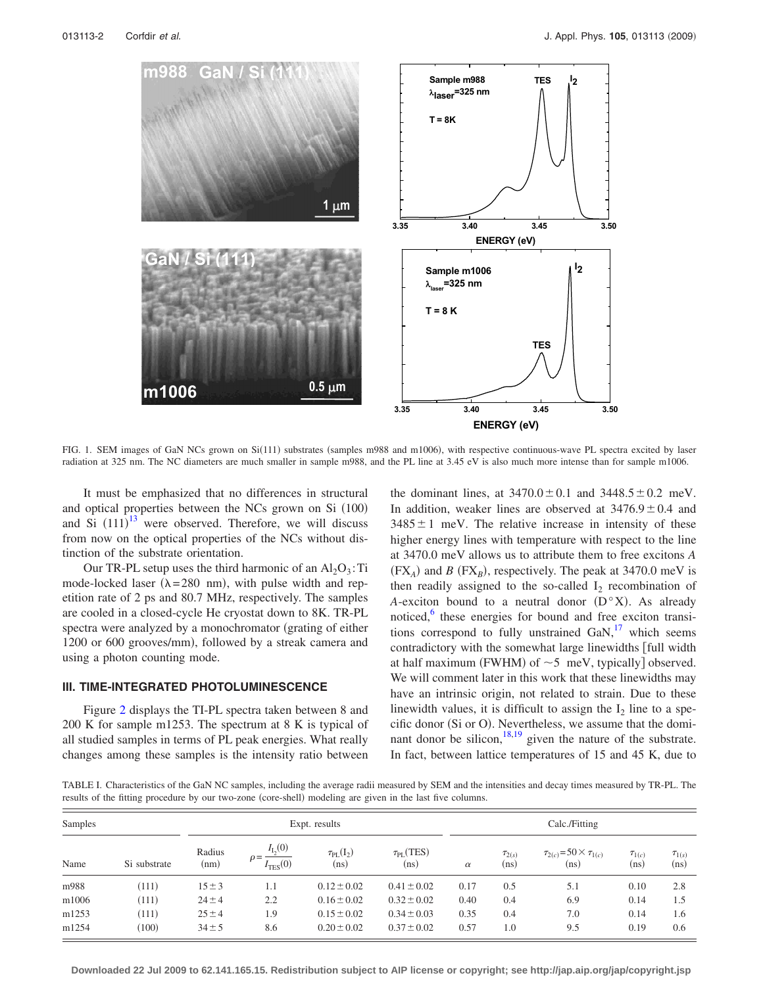<span id="page-1-0"></span>

FIG. 1. SEM images of GaN NCs grown on Si(111) substrates (samples m988 and m1006), with respective continuous-wave PL spectra excited by laser radiation at 325 nm. The NC diameters are much smaller in sample m988, and the PL line at 3.45 eV is also much more intense than for sample m1006.

It must be emphasized that no differences in structural and optical properties between the NCs grown on Si (100) and Si  $(111)^{13}$  $(111)^{13}$  $(111)^{13}$  were observed. Therefore, we will discuss from now on the optical properties of the NCs without distinction of the substrate orientation.

Our TR-PL setup uses the third harmonic of an  $Al_2O_3$ : Ti mode-locked laser ( $\lambda = 280$  nm), with pulse width and repetition rate of 2 ps and 80.7 MHz, respectively. The samples are cooled in a closed-cycle He cryostat down to 8K. TR-PL spectra were analyzed by a monochromator (grating of either 1200 or 600 grooves/mm), followed by a streak camera and using a photon counting mode.

#### **III. TIME-INTEGRATED PHOTOLUMINESCENCE**

Figure [2](#page-2-0) displays the TI-PL spectra taken between 8 and 200 K for sample m1253. The spectrum at 8 K is typical of all studied samples in terms of PL peak energies. What really changes among these samples is the intensity ratio between the dominant lines, at  $3470.0 \pm 0.1$  and  $3448.5 \pm 0.2$  meV. In addition, weaker lines are observed at  $3476.9 \pm 0.4$  and  $3485 \pm 1$  meV. The relative increase in intensity of these higher energy lines with temperature with respect to the line at 3470.0 meV allows us to attribute them to free excitons *A*  $(FX_A)$  and *B*  $(FX_B)$ , respectively. The peak at 3470.0 meV is then readily assigned to the so-called  $I_2$  recombination of A-exciton bound to a neutral donor  $(D<sup>o</sup>X)$ . As already noticed, $6$  these energies for bound and free exciton transitions correspond to fully unstrained GaN, $17$  which seems contradictory with the somewhat large linewidths [full width at half maximum (FWHM) of  $\sim$  5 meV, typically] observed. We will comment later in this work that these linewidths may have an intrinsic origin, not related to strain. Due to these linewidth values, it is difficult to assign the  $I_2$  line to a specific donor (Si or O). Nevertheless, we assume that the dominant donor be silicon,  $18,19$  $18,19$  given the nature of the substrate. In fact, between lattice temperatures of 15 and 45 K, due to

<span id="page-1-1"></span>TABLE I. Characteristics of the GaN NC samples, including the average radii measured by SEM and the intensities and decay times measured by TR-PL. The results of the fitting procedure by our two-zone (core-shell) modeling are given in the last five columns.

| Samples |              | Expt. results  |                                                         |                                               |                           | Calc./Fitting |                                    |                                               |                       |                                    |
|---------|--------------|----------------|---------------------------------------------------------|-----------------------------------------------|---------------------------|---------------|------------------------------------|-----------------------------------------------|-----------------------|------------------------------------|
| Name    | Si substrate | Radius<br>(nm) | $I_{I_2}(0)$<br>$\rho =$<br>$\overline{I_{\rm TES}(0)}$ | $\tau_{\rm PL}(\rm I_2)$<br>(n <sub>s</sub> ) | $\tau_{PI}$ (TES)<br>(ns) | $\alpha$      | $\tau_{2(s)}$<br>(n <sub>s</sub> ) | $\tau_{2(c)} = 50 \times \tau_{1(c)}$<br>(ns) | $\tau_{1(c)}$<br>(ns) | $\tau_{1(s)}$<br>(n <sub>s</sub> ) |
| m988    | (111)        | $15 \pm 3$     | 1.1                                                     | $0.12 \pm 0.02$                               | $0.41 \pm 0.02$           | 0.17          | 0.5                                | 5.1                                           | 0.10                  | 2.8                                |
| m1006   | (111)        | $24 \pm 4$     | 2.2                                                     | $0.16 \pm 0.02$                               | $0.32 \pm 0.02$           | 0.40          | 0.4                                | 6.9                                           | 0.14                  | 1.5                                |
| m1253   | (111)        | $25 \pm 4$     | 1.9                                                     | $0.15 \pm 0.02$                               | $0.34 \pm 0.03$           | 0.35          | 0.4                                | 7.0                                           | 0.14                  | 1.6                                |
| m1254   | (100)        | $34 \pm 5$     | 8.6                                                     | $0.20 \pm 0.02$                               | $0.37 \pm 0.02$           | 0.57          | 1.0                                | 9.5                                           | 0.19                  | 0.6                                |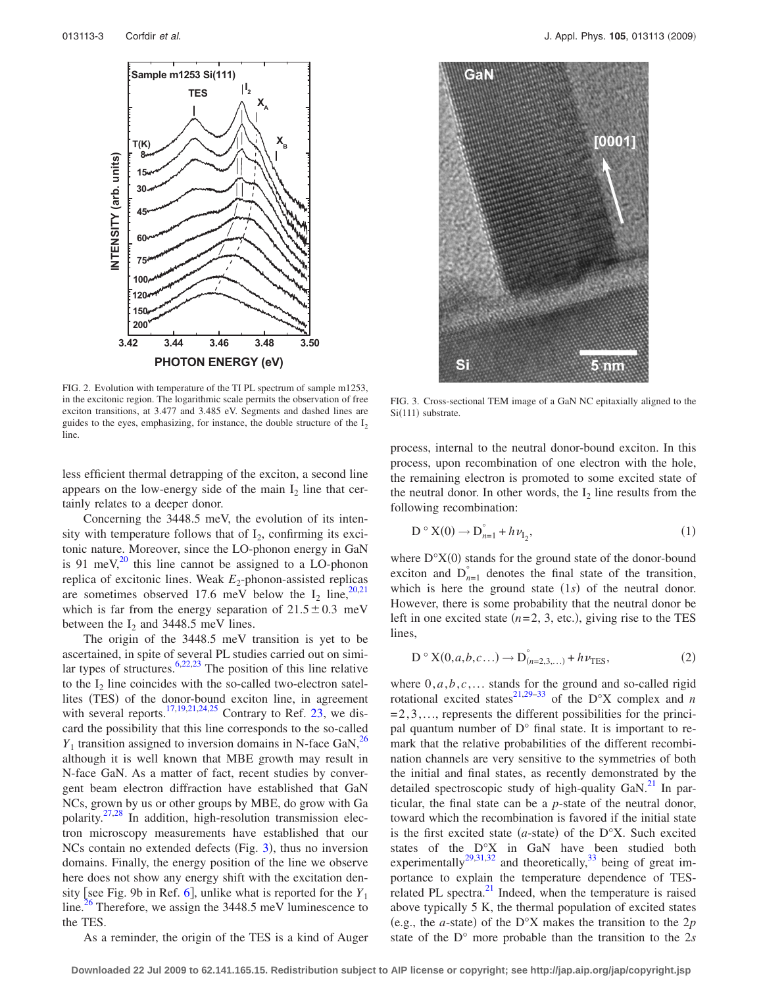<span id="page-2-0"></span>

FIG. 2. Evolution with temperature of the TI PL spectrum of sample m1253, in the excitonic region. The logarithmic scale permits the observation of free exciton transitions, at 3.477 and 3.485 eV. Segments and dashed lines are guides to the eyes, emphasizing, for instance, the double structure of the  $I_2$ line.

less efficient thermal detrapping of the exciton, a second line appears on the low-energy side of the main  $I_2$  line that certainly relates to a deeper donor.

Concerning the 3448.5 meV, the evolution of its intensity with temperature follows that of  $I_2$ , confirming its excitonic nature. Moreover, since the LO-phonon energy in GaN is 91 meV, $^{20}$  this line cannot be assigned to a LO-phonon replica of excitonic lines. Weak  $E_2$ -phonon-assisted replicas are sometimes observed 17.6 meV below the  $I_2$  line,  $20,21$  $20,21$ which is far from the energy separation of  $21.5 \pm 0.3$  meV between the  $I_2$  and 3448.5 meV lines.

The origin of the 3448.5 meV transition is yet to be ascertained, in spite of several PL studies carried out on similar types of structures. $6,22,23$  $6,22,23$  $6,22,23$  The position of this line relative to the  $I_2$  line coincides with the so-called two-electron satellites (TES) of the donor-bound exciton line, in agreement with several reports.<sup>17[,19,](#page-7-2)[21](#page-7-4)[,24](#page-7-7)[,25](#page-7-8)</sup> Contrary to Ref. [23,](#page-7-6) we discard the possibility that this line corresponds to the so-called  $Y_1$  transition assigned to inversion domains in N-face GaN,<sup>26</sup> although it is well known that MBE growth may result in N-face GaN. As a matter of fact, recent studies by convergent beam electron diffraction have established that GaN NCs, grown by us or other groups by MBE, do grow with Ga polarity. $27,28$  $27,28$  In addition, high-resolution transmission electron microscopy measurements have established that our NCs contain no extended defects (Fig. [3](#page-2-1)), thus no inversion domains. Finally, the energy position of the line we observe here does not show any energy shift with the excitation den-sity [see Fig. 9b in Ref. [6](#page-6-5)], unlike what is reported for the  $Y_1$ line.<sup>26</sup> Therefore, we assign the  $3448.5$  meV luminescence to the TES.

As a reminder, the origin of the TES is a kind of Auger

<span id="page-2-1"></span>

FIG. 3. Cross-sectional TEM image of a GaN NC epitaxially aligned to the Si(111) substrate.

process, internal to the neutral donor-bound exciton. In this process, upon recombination of one electron with the hole, the remaining electron is promoted to some excited state of the neutral donor. In other words, the  $I_2$  line results from the following recombination:

$$
D \circ X(0) \to D_{n=1}^{\circ} + h\nu_{I_2},\tag{1}
$$

where  $D^{\circ}X(0)$  stands for the ground state of the donor-bound exciton and  $D_{n=1}^{\circ}$  denotes the final state of the transition, which is here the ground state  $(1s)$  of the neutral donor. However, there is some probability that the neutral donor be left in one excited state  $(n=2, 3,$  etc.), giving rise to the TES lines,

$$
D^{\circ} X(0, a, b, c...) \to D^{(n=2,3,...)}_{(n=2,3,...)} + h\nu_{\text{TES}},
$$
 (2)

where 0,*a*,*b*,*c*,... stands for the ground and so-called rigid rotational excited states<sup>21,[29–](#page-7-12)[33](#page-7-13)</sup> of the D°X complex and *n*  $=2,3,...$ , represents the different possibilities for the principal quantum number of D° final state. It is important to remark that the relative probabilities of the different recombination channels are very sensitive to the symmetries of both the initial and final states, as recently demonstrated by the detailed spectroscopic study of high-quality GaN. $^{21}$  In particular, the final state can be a *p*-state of the neutral donor, toward which the recombination is favored if the initial state is the first excited state  $(a\text{-state})$  of the D°X. Such excited states of the D°X in GaN have been studied both experimentally<sup>29[,31,](#page-7-14)[32](#page-7-15)</sup> and theoretically,<sup>33</sup> being of great importance to explain the temperature dependence of TESrelated PL spectra.<sup>21</sup> Indeed, when the temperature is raised above typically 5 K, the thermal population of excited states (e.g., the *a*-state) of the D°X makes the transition to the  $2p$ state of the D° more probable than the transition to the 2*s*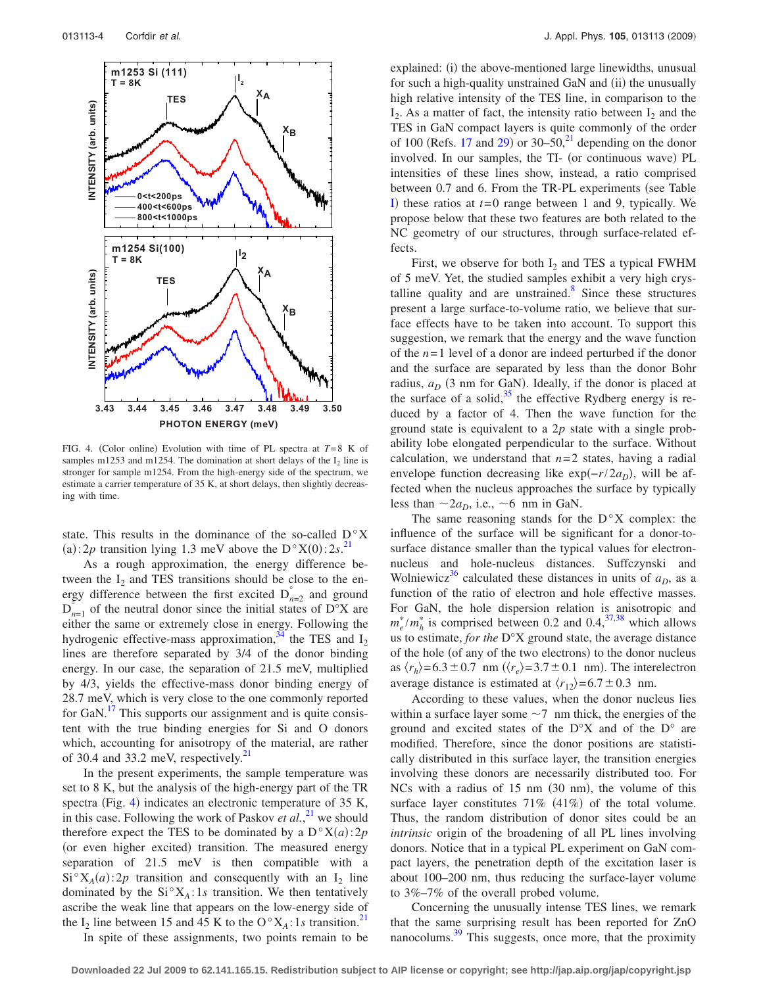<span id="page-3-0"></span>

FIG. 4. (Color online) Evolution with time of PL spectra at  $T=8$  K of samples m1253 and m1254. The domination at short delays of the  $I_2$  line is stronger for sample m1254. From the high-energy side of the spectrum, we estimate a carrier temperature of 35 K, at short delays, then slightly decreasing with time.

state. This results in the dominance of the so-called  $D^{\circ}X$ (a): 2*p* transition lying 1.3 meV above the  $D^{\circ}X(0)$ : 2*s*.<sup>[21](#page-7-4)</sup>

As a rough approximation, the energy difference between the  $I_2$  and TES transitions should be close to the energy difference between the first excited  $D_{n=2}^{\circ}$  and ground  $D_{n=1}^{\circ}$  of the neutral donor since the initial states of D°X are either the same or extremely close in energy. Following the hydrogenic effective-mass approximation,  $34$  the TES and I<sub>2</sub> lines are therefore separated by 3/4 of the donor binding energy. In our case, the separation of 21.5 meV, multiplied by 4/3, yields the effective-mass donor binding energy of 28.7 meV, which is very close to the one commonly reported for GaN. $^{17}$  This supports our assignment and is quite consistent with the true binding energies for Si and O donors which, accounting for anisotropy of the material, are rather of 30.4 and 33.2 meV, respectively. $21$ 

In the present experiments, the sample temperature was set to 8 K, but the analysis of the high-energy part of the TR spectra (Fig. [4](#page-3-0)) indicates an electronic temperature of 35 K, in this case. Following the work of Paskov  $et al.<sup>21</sup>$  $et al.<sup>21</sup>$  $et al.<sup>21</sup>$  we should therefore expect the TES to be dominated by a  $D^{\circ}X(a):2p$ (or even higher excited) transition. The measured energy separation of 21.5 meV is then compatible with a  $Si^{\circ}X_A(a):2p$  transition and consequently with an I<sub>2</sub> line dominated by the  $Si^{\circ}X_A: 1s$  transition. We then tentatively ascribe the weak line that appears on the low-energy side of the I<sub>2</sub> line between 15 and 45 K to the O°X<sub>A</sub>: 1*s* transition.<sup>21</sup>

explained: (i) the above-mentioned large linewidths, unusual for such a high-quality unstrained GaN and (ii) the unusually high relative intensity of the TES line, in comparison to the  $I_2$ . As a matter of fact, the intensity ratio between  $I_2$  and the TES in GaN compact layers is quite commonly of the order of 100 (Refs. [17](#page-7-0) and [29](#page-7-12)) or 30–50,<sup>21</sup> depending on the donor involved. In our samples, the TI- (or continuous wave) PL intensities of these lines show, instead, a ratio comprised between 0.7 and 6. From the TR-PL experiments (see Table [I](#page-1-1)) these ratios at  $t=0$  range between 1 and 9, typically. We propose below that these two features are both related to the NC geometry of our structures, through surface-related effects.

First, we observe for both  $I_2$  and TES a typical FWHM of 5 meV. Yet, the studied samples exhibit a very high crystalline quality and are unstrained.<sup>8</sup> Since these structures present a large surface-to-volume ratio, we believe that surface effects have to be taken into account. To support this suggestion, we remark that the energy and the wave function of the *n*= 1 level of a donor are indeed perturbed if the donor and the surface are separated by less than the donor Bohr radius,  $a_D$  (3 nm for GaN). Ideally, if the donor is placed at the surface of a solid,  $35$  the effective Rydberg energy is reduced by a factor of 4. Then the wave function for the ground state is equivalent to a 2*p* state with a single probability lobe elongated perpendicular to the surface. Without calculation, we understand that  $n=2$  states, having a radial envelope function decreasing like exp(-*r*/2*a*<sub>D</sub>), will be affected when the nucleus approaches the surface by typically less than  $\sim 2a_D$ , i.e.,  $\sim 6$  nm in GaN.

The same reasoning stands for the  $D^{\circ}X$  complex: the influence of the surface will be significant for a donor-tosurface distance smaller than the typical values for electronnucleus and hole-nucleus distances. Suffczynski and Wolniewicz<sup>36</sup> calculated these distances in units of  $a<sub>D</sub>$ , as a function of the ratio of electron and hole effective masses. For GaN, the hole dispersion relation is anisotropic and  $m_e^*/m_h^*$  is comprised between 0.2 and 0.4,<sup>37[,38](#page-7-20)</sup> which allows us to estimate, *for the* D°X ground state, the average distance of the hole (of any of the two electrons) to the donor nucleus as  $\langle r_h \rangle$ =6.3 ± 0.7 nm  $\langle \langle r_e \rangle$ =3.7 ± 0.1 nm). The interelectron average distance is estimated at  $\langle r_{12} \rangle = 6.7 \pm 0.3$  nm.

According to these values, when the donor nucleus lies within a surface layer some  $\sim$  7 nm thick, the energies of the ground and excited states of the  $D^{\circ}X$  and of the  $D^{\circ}$  are modified. Therefore, since the donor positions are statistically distributed in this surface layer, the transition energies involving these donors are necessarily distributed too. For NCs with a radius of 15 nm (30 nm), the volume of this surface layer constitutes  $71\%$  (41%) of the total volume. Thus, the random distribution of donor sites could be an *intrinsic* origin of the broadening of all PL lines involving donors. Notice that in a typical PL experiment on GaN compact layers, the penetration depth of the excitation laser is about 100–200 nm, thus reducing the surface-layer volume to 3%–7% of the overall probed volume.

Concerning the unusually intense TES lines, we remark that the same surprising result has been reported for ZnO nanocolums.<sup>39</sup> This suggests, once more, that the proximity

In spite of these assignments, two points remain to be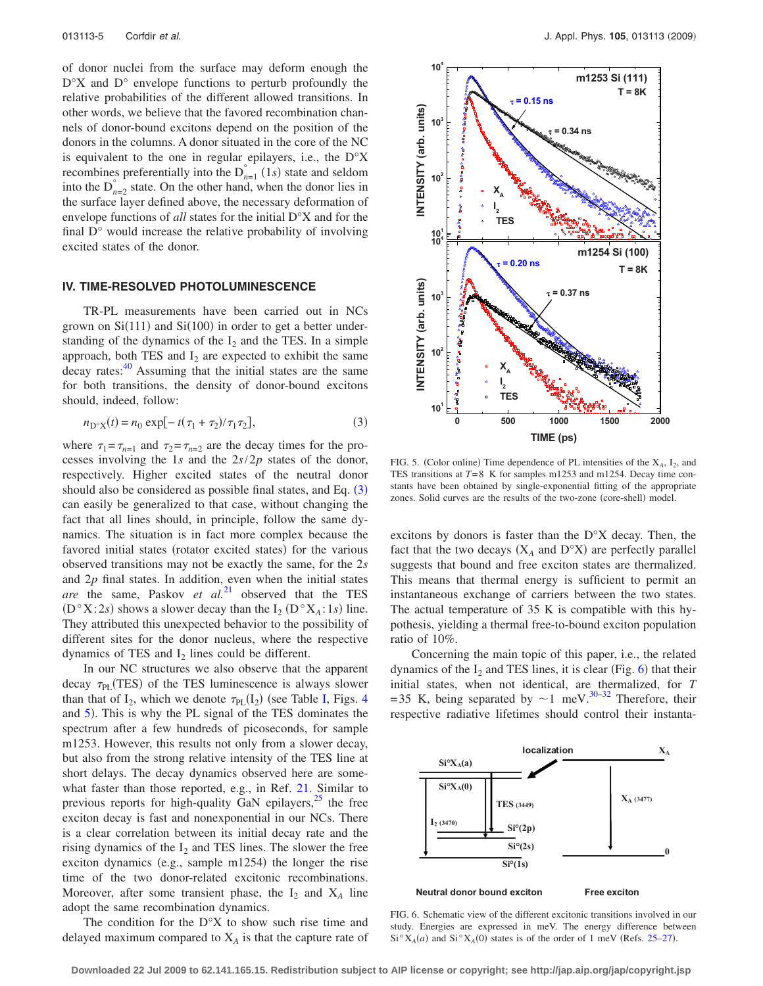of donor nuclei from the surface may deform enough the D°X and D° envelope functions to perturb profoundly the relative probabilities of the different allowed transitions. In other words, we believe that the favored recombination channels of donor-bound excitons depend on the position of the donors in the columns. A donor situated in the core of the NC is equivalent to the one in regular epilayers, i.e., the D°X recombines preferentially into the  $D_{n=1}^{\circ}$  (1*s*) state and seldom into the  $D_{n=2}^{\circ}$  state. On the other hand, when the donor lies in the surface layer defined above, the necessary deformation of envelope functions of *all* states for the initial D°X and for the final D° would increase the relative probability of involving excited states of the donor.

## **IV. TIME-RESOLVED PHOTOLUMINESCENCE**

TR-PL measurements have been carried out in NCs grown on  $Si(111)$  and  $Si(100)$  in order to get a better understanding of the dynamics of the  $I_2$  and the TES. In a simple approach, both TES and  $I_2$  are expected to exhibit the same  $\frac{40}{10}$  Assuming that the initial states are the same for both transitions, the density of donor-bound excitons should, indeed, follow:

$$
n_{D^{\circ}X}(t) = n_0 \exp[-t(\tau_1 + \tau_2)/\tau_1 \tau_2],
$$
\n(3)

<span id="page-4-0"></span>where  $\tau_1 = \tau_{n=1}$  and  $\tau_2 = \tau_{n=2}$  are the decay times for the processes involving the 1*s* and the 2*s*/2*p* states of the donor, respectively. Higher excited states of the neutral donor should also be considered as possible final states, and Eq. ([3](#page-4-0)) can easily be generalized to that case, without changing the fact that all lines should, in principle, follow the same dynamics. The situation is in fact more complex because the favored initial states (rotator excited states) for the various observed transitions may not be exactly the same, for the 2*s* and 2*p* final states. In addition, even when the initial states *are* the same, Paskov *et al.*[21](#page-7-4) observed that the TES  $(D<sup>\circ</sup>X:2s)$  shows a slower decay than the I<sub>2</sub>  $(D<sup>\circ</sup>X<sub>A</sub>:1s)$  line. They attributed this unexpected behavior to the possibility of different sites for the donor nucleus, where the respective dynamics of TES and  $I_2$  lines could be different.

In our NC structures we also observe that the apparent decay  $\tau_{PL}(TES)$  of the TES luminescence is always slower than that of  $I_2$ , which we denote  $\tau_{PL}(I_2)$  (see Table [I,](#page-1-1) Figs. [4](#page-3-0) and [5](#page-4-1)). This is why the PL signal of the TES dominates the spectrum after a few hundreds of picoseconds, for sample m1253. However, this results not only from a slower decay, but also from the strong relative intensity of the TES line at short delays. The decay dynamics observed here are somewhat faster than those reported, e.g., in Ref. [21.](#page-7-4) Similar to previous reports for high-quality GaN epilayers, $^{25}$  the free exciton decay is fast and nonexponential in our NCs. There is a clear correlation between its initial decay rate and the rising dynamics of the  $I_2$  and TES lines. The slower the free exciton dynamics (e.g., sample  $m1254$ ) the longer the rise time of the two donor-related excitonic recombinations. Moreover, after some transient phase, the  $I_2$  and  $X_4$  line adopt the same recombination dynamics.

The condition for the  $D^{\circ}X$  to show such rise time and delayed maximum compared to X*<sup>A</sup>* is that the capture rate of

<span id="page-4-1"></span>

FIG. 5. (Color online) Time dependence of PL intensities of the  $X_A$ ,  $I_2$ , and TES transitions at *T*= 8 K for samples m1253 and m1254. Decay time constants have been obtained by single-exponential fitting of the appropriate zones. Solid curves are the results of the two-zone (core-shell) model.

excitons by donors is faster than the D°X decay. Then, the fact that the two decays  $(X_A \text{ and } D^{\circ}X)$  are perfectly parallel suggests that bound and free exciton states are thermalized. This means that thermal energy is sufficient to permit an instantaneous exchange of carriers between the two states. The actual temperature of 35 K is compatible with this hypothesis, yielding a thermal free-to-bound exciton population ratio of 10%.

Concerning the main topic of this paper, i.e., the related dynamics of the  $I_2$  and TES lines, it is clear (Fig. [6](#page-4-2)) that their initial states, when not identical, are thermalized, for *T* = 35 K, being separated by  $\sim$  1 meV.<sup>30[–32](#page-7-15)</sup> Therefore, their respective radiative lifetimes should control their instanta-

<span id="page-4-2"></span>

FIG. 6. Schematic view of the different excitonic transitions involved in our study. Energies are expressed in meV. The energy difference between  $Si^{\circ}X_A(a)$  and  $Si^{\circ}X_A(0)$  states is of the order of 1 meV (Refs. [25–](#page-7-8)[27](#page-7-10)).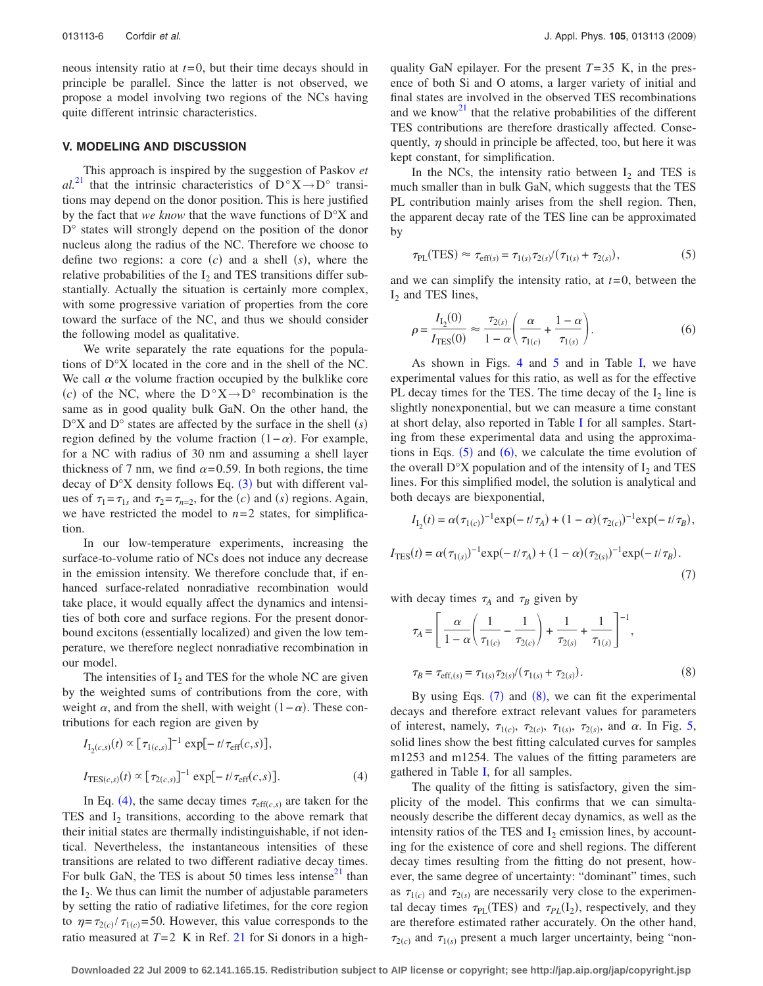neous intensity ratio at *t*= 0, but their time decays should in principle be parallel. Since the latter is not observed, we propose a model involving two regions of the NCs having quite different intrinsic characteristics.

# **V. MODELING AND DISCUSSION**

This approach is inspired by the suggestion of Paskov *et*  $al.^{21}$  $al.^{21}$  $al.^{21}$  that the intrinsic characteristics of  $D^{\circ}X \rightarrow D^{\circ}$  transitions may depend on the donor position. This is here justified by the fact that *we know* that the wave functions of D°X and D° states will strongly depend on the position of the donor nucleus along the radius of the NC. Therefore we choose to define two regions: a core  $(c)$  and a shell  $(s)$ , where the relative probabilities of the  $I_2$  and TES transitions differ substantially. Actually the situation is certainly more complex, with some progressive variation of properties from the core toward the surface of the NC, and thus we should consider the following model as qualitative.

We write separately the rate equations for the populations of D°X located in the core and in the shell of the NC. We call  $\alpha$  the volume fraction occupied by the bulklike core (*c*) of the NC, where the  $D^{\circ}X \rightarrow D^{\circ}$  recombination is the same as in good quality bulk GaN. On the other hand, the  $D^{\circ}X$  and  $D^{\circ}$  states are affected by the surface in the shell  $(s)$ region defined by the volume fraction  $(1 - \alpha)$ . For example, for a NC with radius of 30 nm and assuming a shell layer thickness of 7 nm, we find  $\alpha = 0.59$ . In both regions, the time decay of  $D^{\circ}X$  density follows Eq. ([3](#page-4-0)) but with different values of  $\tau_1 = \tau_{1s}$  and  $\tau_2 = \tau_{n=2}$ , for the *(c)* and *(s)* regions. Again, we have restricted the model to  $n=2$  states, for simplification.

In our low-temperature experiments, increasing the surface-to-volume ratio of NCs does not induce any decrease in the emission intensity. We therefore conclude that, if enhanced surface-related nonradiative recombination would take place, it would equally affect the dynamics and intensities of both core and surface regions. For the present donorbound excitons (essentially localized) and given the low temperature, we therefore neglect nonradiative recombination in our model.

The intensities of  $I_2$  and TES for the whole NC are given by the weighted sums of contributions from the core, with weight  $\alpha$ , and from the shell, with weight  $(1-\alpha)$ . These contributions for each region are given by

<span id="page-5-0"></span>
$$
I_{I_2(c,s)}(t) \propto [\tau_{1(c,s)}]^{-1} \exp[-t/\tau_{\text{eff}}(c,s)],
$$
  
\n
$$
I_{\text{TES}(c,s)}(t) \propto [\tau_{2(c,s)}]^{-1} \exp[-t/\tau_{\text{eff}}(c,s)].
$$
\n(4)

In Eq. ([4](#page-5-0)), the same decay times  $\tau_{\text{eff}(c,s)}$  are taken for the TES and  $I_2$  transitions, according to the above remark that their initial states are thermally indistinguishable, if not identical. Nevertheless, the instantaneous intensities of these transitions are related to two different radiative decay times. For bulk GaN, the TES is about 50 times less intense $^{21}$  than the  $I_2$ . We thus can limit the number of adjustable parameters by setting the ratio of radiative lifetimes, for the core region to  $\eta = \tau_{2(c)}/\tau_{1(c)} = 50$ . However, this value corresponds to the ratio measured at  $T=2$  K in Ref. [21](#page-7-4) for Si donors in a highquality GaN epilayer. For the present  $T=35$  K, in the presence of both Si and O atoms, a larger variety of initial and final states are involved in the observed TES recombinations and we know<sup>21</sup> that the relative probabilities of the different TES contributions are therefore drastically affected. Consequently,  $\eta$  should in principle be affected, too, but here it was kept constant, for simplification.

In the NCs, the intensity ratio between  $I_2$  and TES is much smaller than in bulk GaN, which suggests that the TES PL contribution mainly arises from the shell region. Then, the apparent decay rate of the TES line can be approximated by

$$
\tau_{\rm PL}(\rm TES) \approx \tau_{\rm eff(s)} = \tau_{1(s)} \tau_{2(s)} / (\tau_{1(s)} + \tau_{2(s)}), \tag{5}
$$

<span id="page-5-1"></span>and we can simplify the intensity ratio, at  $t=0$ , between the  $I_2$  and TES lines,

<span id="page-5-2"></span>
$$
\rho = \frac{I_{I_2}(0)}{I_{\text{TES}}(0)} \approx \frac{\tau_{2(s)}}{1 - \alpha} \left( \frac{\alpha}{\tau_{1(c)}} + \frac{1 - \alpha}{\tau_{1(s)}} \right). \tag{6}
$$

As shown in Figs. [4](#page-3-0) and [5](#page-4-1) and in Table [I,](#page-1-1) we have experimental values for this ratio, as well as for the effective PL decay times for the TES. The time decay of the  $I_2$  line is slightly nonexponential, but we can measure a time constant at short delay, also reported in Table [I](#page-1-1) for all samples. Starting from these experimental data and using the approximations in Eqs.  $(5)$  $(5)$  $(5)$  and  $(6)$  $(6)$  $(6)$ , we calculate the time evolution of the overall  $D^{\circ}X$  population and of the intensity of  $I_2$  and TES lines. For this simplified model, the solution is analytical and both decays are biexponential,

<span id="page-5-3"></span>
$$
I_{I_2}(t) = \alpha(\tau_{1(c)})^{-1} \exp(-t/\tau_A) + (1-\alpha)(\tau_{2(c)})^{-1} \exp(-t/\tau_B),
$$

$$
I_{\text{TES}}(t) = \alpha(\tau_{1(s)})^{-1} \exp(-t/\tau_A) + (1-\alpha)(\tau_{2(s)})^{-1} \exp(-t/\tau_B).
$$
\n(7)

<span id="page-5-4"></span>with decay times  $\tau_A$  and  $\tau_B$  given by

$$
\tau_A = \left[ \frac{\alpha}{1 - \alpha} \left( \frac{1}{\tau_{1(c)}} - \frac{1}{\tau_{2(c)}} \right) + \frac{1}{\tau_{2(s)}} + \frac{1}{\tau_{1(s)}} \right]^{-1},
$$
  

$$
\tau_B = \tau_{eff,(s)} = \tau_{1(s)} \tau_{2(s)} / (\tau_{1(s)} + \tau_{2(s)}).
$$
 (8)

By using Eqs.  $(7)$  $(7)$  $(7)$  and  $(8)$  $(8)$  $(8)$ , we can fit the experimental decays and therefore extract relevant values for parameters of interest, namely,  $\tau_{1(c)}$ ,  $\tau_{2(c)}$ ,  $\tau_{1(s)}$ ,  $\tau_{2(s)}$ , and  $\alpha$ . In Fig. [5,](#page-4-1) solid lines show the best fitting calculated curves for samples m1253 and m1254. The values of the fitting parameters are gathered in Table [I,](#page-1-1) for all samples.

The quality of the fitting is satisfactory, given the simplicity of the model. This confirms that we can simultaneously describe the different decay dynamics, as well as the intensity ratios of the TES and  $I_2$  emission lines, by accounting for the existence of core and shell regions. The different decay times resulting from the fitting do not present, however, the same degree of uncertainty: "dominant" times, such as  $\tau_{1(c)}$  and  $\tau_{2(s)}$  are necessarily very close to the experimental decay times  $\tau_{PL}(TES)$  and  $\tau_{PL}(I_2)$ , respectively, and they are therefore estimated rather accurately. On the other hand,  $\tau_{2(c)}$  and  $\tau_{1(s)}$  present a much larger uncertainty, being "non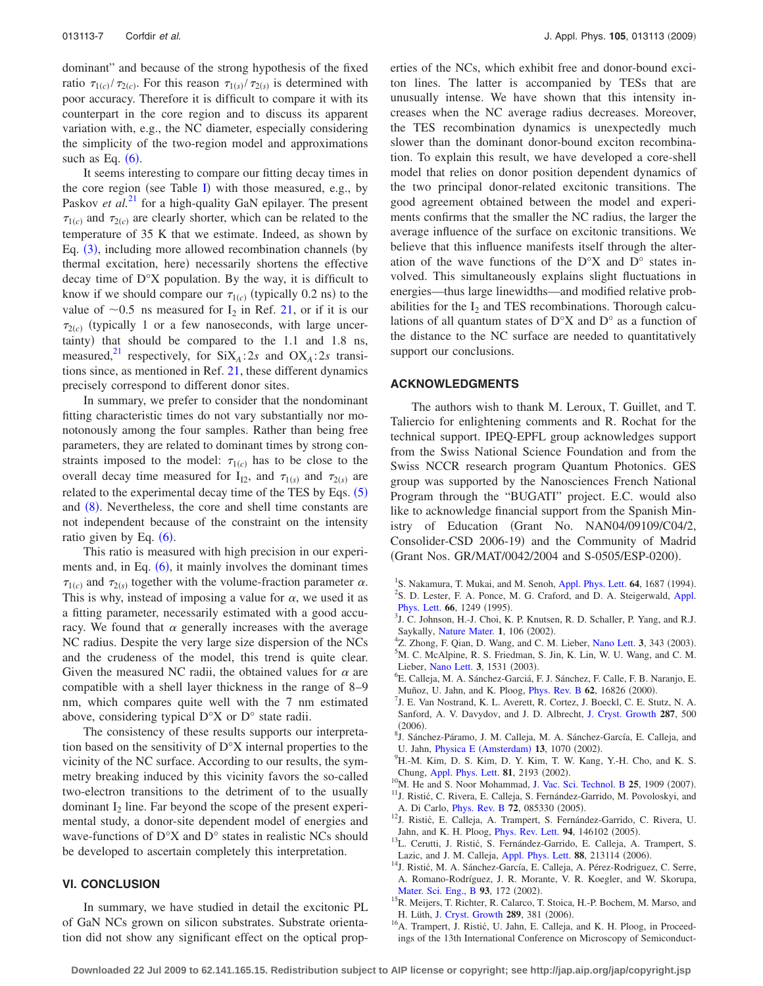dominant" and because of the strong hypothesis of the fixed ratio  $\tau_{1(c)}/\tau_{2(c)}$ . For this reason  $\tau_{1(s)}/\tau_{2(s)}$  is determined with poor accuracy. Therefore it is difficult to compare it with its counterpart in the core region and to discuss its apparent variation with, e.g., the NC diameter, especially considering the simplicity of the two-region model and approximations such as Eq.  $(6)$  $(6)$  $(6)$ .

It seems interesting to compare our fitting decay times in the core region (see Table [I](#page-1-1)) with those measured, e.g., by Paskov *et al.*<sup>[21](#page-7-4)</sup> for a high-quality GaN epilayer. The present  $\tau_{1(c)}$  and  $\tau_{2(c)}$  are clearly shorter, which can be related to the temperature of 35 K that we estimate. Indeed, as shown by Eq. ([3](#page-4-0)), including more allowed recombination channels (by thermal excitation, here) necessarily shortens the effective decay time of D°X population. By the way, it is difficult to know if we should compare our  $\tau_{1(c)}$  (typically 0.2 ns) to the value of  $\sim$ 0.5 ns measured for I<sub>2</sub> in Ref. [21,](#page-7-4) or if it is our  $\tau_{2(c)}$  (typically 1 or a few nanoseconds, with large uncertainty) that should be compared to the 1.1 and 1.8 ns, measured,<sup>21</sup> respectively, for  $SiX_A:2s$  and  $OX_A:2s$  transitions since, as mentioned in Ref. [21,](#page-7-4) these different dynamics precisely correspond to different donor sites.

In summary, we prefer to consider that the nondominant fitting characteristic times do not vary substantially nor monotonously among the four samples. Rather than being free parameters, they are related to dominant times by strong constraints imposed to the model:  $\tau_{1(c)}$  has to be close to the overall decay time measured for  $I_{12}$ , and  $\tau_{1(s)}$  and  $\tau_{2(s)}$  are related to the experimental decay time of the TES by Eqs.  $(5)$  $(5)$  $(5)$ and ([8](#page-5-4)). Nevertheless, the core and shell time constants are not independent because of the constraint on the intensity ratio given by Eq.  $(6)$  $(6)$  $(6)$ .

This ratio is measured with high precision in our experiments and, in Eq.  $(6)$  $(6)$  $(6)$ , it mainly involves the dominant times  $\tau_{1(c)}$  and  $\tau_{2(s)}$  together with the volume-fraction parameter  $\alpha$ . This is why, instead of imposing a value for  $\alpha$ , we used it as a fitting parameter, necessarily estimated with a good accuracy. We found that  $\alpha$  generally increases with the average NC radius. Despite the very large size dispersion of the NCs and the crudeness of the model, this trend is quite clear. Given the measured NC radii, the obtained values for  $\alpha$  are compatible with a shell layer thickness in the range of 8–9 nm, which compares quite well with the 7 nm estimated above, considering typical D°X or D° state radii.

The consistency of these results supports our interpretation based on the sensitivity of  $D^{\circ}X$  internal properties to the vicinity of the NC surface. According to our results, the symmetry breaking induced by this vicinity favors the so-called two-electron transitions to the detriment of to the usually dominant  $I_2$  line. Far beyond the scope of the present experimental study, a donor-site dependent model of energies and wave-functions of D°X and D° states in realistic NCs should be developed to ascertain completely this interpretation.

## **VI. CONCLUSION**

In summary, we have studied in detail the excitonic PL of GaN NCs grown on silicon substrates. Substrate orientation did not show any significant effect on the optical properties of the NCs, which exhibit free and donor-bound exciton lines. The latter is accompanied by TESs that are unusually intense. We have shown that this intensity increases when the NC average radius decreases. Moreover, the TES recombination dynamics is unexpectedly much slower than the dominant donor-bound exciton recombination. To explain this result, we have developed a core-shell model that relies on donor position dependent dynamics of the two principal donor-related excitonic transitions. The good agreement obtained between the model and experiments confirms that the smaller the NC radius, the larger the average influence of the surface on excitonic transitions. We believe that this influence manifests itself through the alteration of the wave functions of the  $D^{\circ}X$  and  $D^{\circ}$  states involved. This simultaneously explains slight fluctuations in energies—thus large linewidths—and modified relative probabilities for the  $I_2$  and TES recombinations. Thorough calculations of all quantum states of  $D^{\circ}X$  and  $D^{\circ}$  as a function of the distance to the NC surface are needed to quantitatively support our conclusions.

#### **ACKNOWLEDGMENTS**

The authors wish to thank M. Leroux, T. Guillet, and T. Taliercio for enlightening comments and R. Rochat for the technical support. IPEQ-EPFL group acknowledges support from the Swiss National Science Foundation and from the Swiss NCCR research program Quantum Photonics. GES group was supported by the Nanosciences French National Program through the "BUGATI" project. E.C. would also like to acknowledge financial support from the Spanish Ministry of Education Grant No. NAN04/09109/C04/2, Consolider-CSD 2006-19) and the Community of Madrid (Grant Nos. GR/MAT/0042/2004 and S-0505/ESP-0200).

- <span id="page-6-0"></span><sup>1</sup>S. Nakamura, T. Mukai, and M. Senoh, [Appl. Phys. Lett.](http://dx.doi.org/10.1063/1.111832) **64**, 1687 (1994).
- <span id="page-6-1"></span><sup>2</sup>S. D. Lester, F. A. Ponce, M. G. Craford, and D. A. Steigerwald, [Appl.](http://dx.doi.org/10.1063/1.113252) **[Phys. Lett.](http://dx.doi.org/10.1063/1.113252) 66**, 1249 (1995).
- <span id="page-6-2"></span><sup>3</sup>J. C. Johnson, H.-J. Choi, K. P. Knutsen, R. D. Schaller, P. Yang, and R.J. Saykally, [Nature Mater.](http://dx.doi.org/10.1038/nmat728) **1**, 106 (2002).
- <span id="page-6-4"></span><span id="page-6-3"></span><sup>4</sup>Z. Zhong, F. Qian, D. Wang, and C. M. Lieber, [Nano Lett.](http://dx.doi.org/10.1021/nl034003w) **3**, 343 (2003). <sup>5</sup>M. C. McAlpine, R. S. Friedman, S. Jin, K. Lin, W. U. Wang, and C. M. Lieber, [Nano Lett.](http://dx.doi.org/10.1021/nl0346427) **3**, 1531 (2003).
- <span id="page-6-5"></span>E. Calleja, M. A. Sánchez-Garciá, F. J. Sánchez, F. Calle, F. B. Naranjo, E. Muñoz, U. Jahn, and K. Ploog, [Phys. Rev. B](http://dx.doi.org/10.1103/PhysRevB.62.16826)  $62$ , 16826 (2000).
- <span id="page-6-12"></span> $^{7}$ J. E. Van Nostrand, K. L. Averett, R. Cortez, J. Boeckl, C. E. Stutz, N. A. Sanford, A. V. Davydov, and J. D. Albrecht, [J. Cryst. Growth](http://dx.doi.org/10.1016/j.jcrysgro.2005.11.073) **287**, 500  $(2006).$ <sup>8</sup>I Sáng
- <span id="page-6-6"></span><sup>8</sup>J. Sánchez-Páramo, J. M. Calleja, M. A. Sánchez-García, E. Calleja, and U. Jahn, Physica E ([Amsterdam](http://dx.doi.org/10.1016/S1386-9477(02)00305-3)) **13**, 1070 (2002).
- <span id="page-6-7"></span>H.-M. Kim, D. S. Kim, D. Y. Kim, T. W. Kang, Y.-H. Cho, and K. S. Chung, [Appl. Phys. Lett.](http://dx.doi.org/10.1063/1.1507617) **81**, 2193 (2002).
- <span id="page-6-9"></span><span id="page-6-8"></span><sup>10</sup>M. He and S. Noor Mohammad, [J. Vac. Sci. Technol. B](http://dx.doi.org/10.1116/1.2804613) 25, 1909 (2007). <sup>11</sup>J. Ristić, C. Rivera, E. Calleja, S. Fernández-Garrido, M. Povoloskyi, and A. Di Carlo, *[Phys. Rev. B](http://dx.doi.org/10.1103/PhysRevB.72.085330)* 72, 085330 (2005).
- <span id="page-6-10"></span>. 12J. Ristić, E. Calleja, A. Trampert, S. Fernández-Garrido, C. Rivera, U. Jahn, and K. H. Ploog, *[Phys. Rev. Lett.](http://dx.doi.org/10.1103/PhysRevLett.94.146102)* 94, 146102 (2005).
- <span id="page-6-11"></span><sup>13</sup>L. Cerutti, J. Ristić, S. Fernández-Garrido, E. Calleja, A. Trampert, S. Lazic, and J. M. Calleja, [Appl. Phys. Lett.](http://dx.doi.org/10.1063/1.2204836) 88, 213114 (2006).
- <span id="page-6-13"></span><sup>14</sup>J. Ristić, M. A. Sánchez-García, E. Calleja, A. Pérez-Rodriguez, C. Serre, A. Romano-Rodríguez, J. R. Morante, V. R. Koegler, and W. Skorupa, [Mater. Sci. Eng., B](http://dx.doi.org/10.1016/S0921-5107(02)00029-6) 93, 172 (2002).
- <span id="page-6-14"></span><sup>15</sup>R. Meijers, T. Richter, R. Calarco, T. Stoica, H.-P. Bochem, M. Marso, and H. Lüth, [J. Cryst. Growth](http://dx.doi.org/10.1016/j.jcrysgro.2005.11.117) 289, 381 (2006).
- <span id="page-6-15"></span><sup>16</sup>A. Trampert, J. Ristić, U. Jahn, E. Calleja, and K. H. Ploog, in Proceedings of the 13th International Conference on Microscopy of Semiconduct-